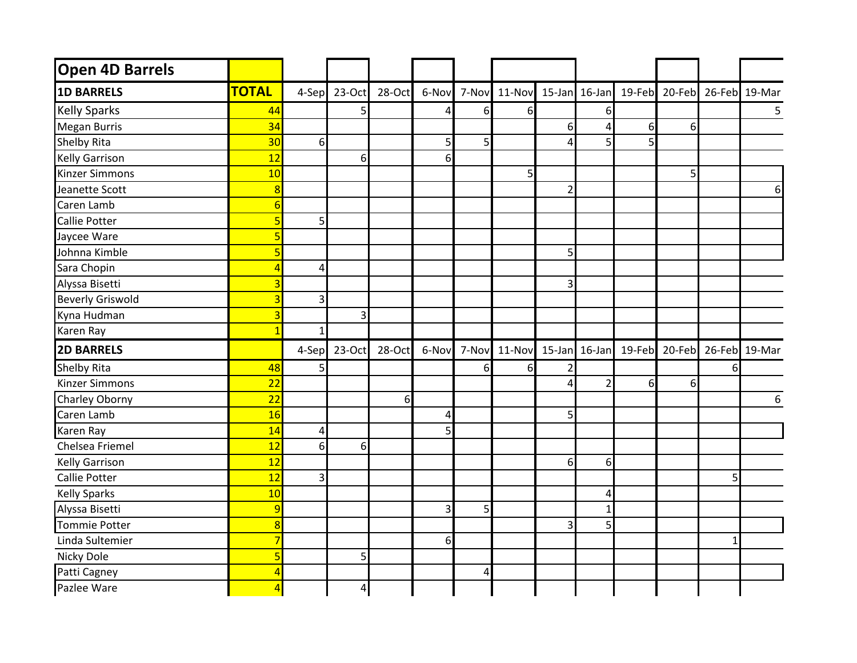| Open 4D Barrels         |                 |                |                |        |                |   |                                                        |   |                |   |          |   |                                           |
|-------------------------|-----------------|----------------|----------------|--------|----------------|---|--------------------------------------------------------|---|----------------|---|----------|---|-------------------------------------------|
| <b>1D BARRELS</b>       | <b>TOTAL</b>    | 4-Sep          | 23-Oct         | 28-Oct |                |   | 6-Nov 7-Nov 11-Nov                                     |   |                |   |          |   | 15-Jan 16-Jan 19-Feb 20-Feb 26-Feb 19-Mar |
| <b>Kelly Sparks</b>     | 44              |                | 5              |        | 4              | 6 | 6                                                      |   | 6              |   |          |   | $5\phantom{.0}$                           |
| <b>Megan Burris</b>     | 34              |                |                |        |                |   |                                                        | 6 | 4              | 6 | $6 \mid$ |   |                                           |
| <b>Shelby Rita</b>      | 30              | $6 \mid$       |                |        | 5              | 5 |                                                        |   | 5              |   |          |   |                                           |
| <b>Kelly Garrison</b>   | 12              |                | 6              |        | $6 \mid$       |   |                                                        |   |                |   |          |   |                                           |
| <b>Kinzer Simmons</b>   | 10              |                |                |        |                |   | 5                                                      |   |                |   | 5        |   |                                           |
| Jeanette Scott          | 8               |                |                |        |                |   |                                                        | 2 |                |   |          |   | 6                                         |
| Caren Lamb              | 6               |                |                |        |                |   |                                                        |   |                |   |          |   |                                           |
| <b>Callie Potter</b>    | 5               | 5              |                |        |                |   |                                                        |   |                |   |          |   |                                           |
| Jaycee Ware             |                 |                |                |        |                |   |                                                        |   |                |   |          |   |                                           |
| Johnna Kimble           |                 |                |                |        |                |   |                                                        | 5 |                |   |          |   |                                           |
| Sara Chopin             | Δ               | $\overline{4}$ |                |        |                |   |                                                        |   |                |   |          |   |                                           |
| Alyssa Bisetti          |                 |                |                |        |                |   |                                                        | 3 |                |   |          |   |                                           |
| <b>Beverly Griswold</b> | 3               | 3              |                |        |                |   |                                                        |   |                |   |          |   |                                           |
| Kyna Hudman             |                 |                | 3              |        |                |   |                                                        |   |                |   |          |   |                                           |
| Karen Ray               |                 | $\mathbf{1}$   |                |        |                |   |                                                        |   |                |   |          |   |                                           |
| <b>2D BARRELS</b>       |                 | 4-Sep          | 23-Oct         | 28-Oct | 6-Nov          |   | 7-Nov 11-Nov 15-Jan 16-Jan 19-Feb 20-Feb 26-Feb 19-Mar |   |                |   |          |   |                                           |
| <b>Shelby Rita</b>      | 48              | 5              |                |        |                | 6 | 6                                                      |   |                |   |          | 6 |                                           |
| <b>Kinzer Simmons</b>   | 22              |                |                |        |                |   |                                                        |   | $\overline{2}$ | 6 | 6        |   |                                           |
| Charley Oborny          | $\overline{22}$ |                |                | 6      |                |   |                                                        |   |                |   |          |   | 6                                         |
| Caren Lamb              | 16              |                |                |        | 4              |   |                                                        | 5 |                |   |          |   |                                           |
| Karen Ray               | 14              | $\overline{4}$ |                |        | $\mathsf{S}$   |   |                                                        |   |                |   |          |   |                                           |
| Chelsea Friemel         | 12              | 6              | $6 \mid$       |        |                |   |                                                        |   |                |   |          |   |                                           |
| Kelly Garrison          | 12              |                |                |        |                |   |                                                        | 6 | 6              |   |          |   |                                           |
| <b>Callie Potter</b>    | 12              | 3              |                |        |                |   |                                                        |   |                |   |          | 5 |                                           |
| <b>Kelly Sparks</b>     | 10              |                |                |        |                |   |                                                        |   | 4              |   |          |   |                                           |
| Alyssa Bisetti          | 9               |                |                |        | $\overline{3}$ | 5 |                                                        |   | -1             |   |          |   |                                           |
| <b>Tommie Potter</b>    | 8               |                |                |        |                |   |                                                        | 3 | 5              |   |          |   |                                           |
| Linda Sultemier         | 7               |                |                |        | $6 \mid$       |   |                                                        |   |                |   |          |   |                                           |
| Nicky Dole              |                 |                | 5              |        |                |   |                                                        |   |                |   |          |   |                                           |
| Patti Cagney            |                 |                |                |        |                | 4 |                                                        |   |                |   |          |   |                                           |
| Pazlee Ware             |                 |                | $\overline{4}$ |        |                |   |                                                        |   |                |   |          |   |                                           |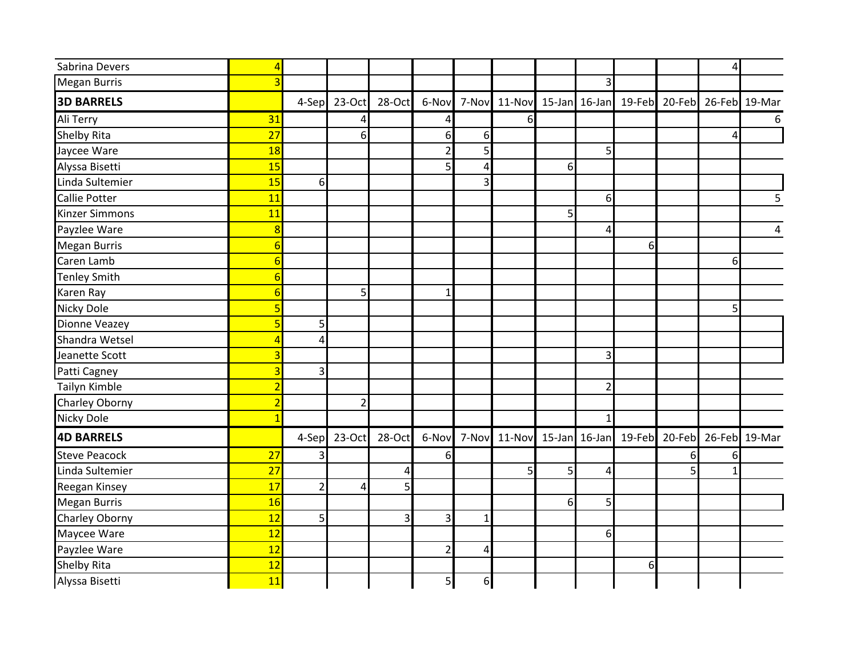| Sabrina Devers        | Δ                        |                |                |        |                |              |   |    |                |                                                  |   | $\overline{4}$ |                                                  |
|-----------------------|--------------------------|----------------|----------------|--------|----------------|--------------|---|----|----------------|--------------------------------------------------|---|----------------|--------------------------------------------------|
| <b>Megan Burris</b>   |                          |                |                |        |                |              |   |    | 3              |                                                  |   |                |                                                  |
| <b>3D BARRELS</b>     |                          | 4-Sep          | 23-Oct         | 28-Oct | 6-Nov          | 7-Nov        |   |    |                | 11-Nov 15-Jan 16-Jan 19-Feb 20-Feb 26-Feb 19-Mar |   |                |                                                  |
| Ali Terry             | 31                       |                | 4              |        | 4              |              | 6 |    |                |                                                  |   |                | 6                                                |
| <b>Shelby Rita</b>    | 27                       |                | 6              |        | 6 <sup>1</sup> | $6 \mid$     |   |    |                |                                                  |   | Δ              |                                                  |
| Jaycee Ware           | 18                       |                |                |        | $\overline{2}$ | $\mathsf{S}$ |   |    | 5              |                                                  |   |                |                                                  |
| Alyssa Bisetti        | 15                       |                |                |        | $\mathsf{S}$   | 4            |   | 61 |                |                                                  |   |                |                                                  |
| Linda Sultemier       | 15                       | 6              |                |        |                | 3            |   |    |                |                                                  |   |                |                                                  |
| <b>Callie Potter</b>  | 11                       |                |                |        |                |              |   |    | 6              |                                                  |   |                | 5                                                |
| <b>Kinzer Simmons</b> | 11                       |                |                |        |                |              |   | 5  |                |                                                  |   |                |                                                  |
| Payzlee Ware          | $\overline{8}$           |                |                |        |                |              |   |    | 4              |                                                  |   |                | 4                                                |
| <b>Megan Burris</b>   | 6                        |                |                |        |                |              |   |    |                | 6                                                |   |                |                                                  |
| Caren Lamb            | 6                        |                |                |        |                |              |   |    |                |                                                  |   | 6              |                                                  |
| <b>Tenley Smith</b>   | 6                        |                |                |        |                |              |   |    |                |                                                  |   |                |                                                  |
| Karen Ray             | F                        |                | 5              |        | $\mathbf{1}$   |              |   |    |                |                                                  |   |                |                                                  |
| <b>Nicky Dole</b>     |                          |                |                |        |                |              |   |    |                |                                                  |   | 5              |                                                  |
| <b>Dionne Veazey</b>  | 5                        | 5              |                |        |                |              |   |    |                |                                                  |   |                |                                                  |
| Shandra Wetsel        | $\overline{\mathcal{A}}$ | 4              |                |        |                |              |   |    |                |                                                  |   |                |                                                  |
| Jeanette Scott        | 3                        |                |                |        |                |              |   |    | 3              |                                                  |   |                |                                                  |
| Patti Cagney          | $\overline{3}$           | 3              |                |        |                |              |   |    |                |                                                  |   |                |                                                  |
| Tailyn Kimble         | $\overline{c}$           |                |                |        |                |              |   |    | $\overline{2}$ |                                                  |   |                |                                                  |
| Charley Oborny        | $\overline{2}$           |                | $\overline{2}$ |        |                |              |   |    |                |                                                  |   |                |                                                  |
| <b>Nicky Dole</b>     |                          |                |                |        |                |              |   |    | $\mathbf{1}$   |                                                  |   |                |                                                  |
| <b>4D BARRELS</b>     |                          | 4-Sep          | 23-Oct         | 28-Oct | 6-Nov          | 7-Nov        |   |    |                |                                                  |   |                | 11-Nov 15-Jan 16-Jan 19-Feb 20-Feb 26-Feb 19-Mar |
| <b>Steve Peacock</b>  | 27                       | 3              |                |        | $6 \mid$       |              |   |    |                |                                                  | 6 | 6              |                                                  |
| Linda Sultemier       | 27                       |                |                | 4      |                |              | 5 | 5  | 4              |                                                  |   |                |                                                  |
| Reegan Kinsey         | 17                       | $\overline{2}$ | 4              | 5      |                |              |   |    |                |                                                  |   |                |                                                  |
| <b>Megan Burris</b>   | 16                       |                |                |        |                |              |   | 6  | 5              |                                                  |   |                |                                                  |
| Charley Oborny        | 12                       | 5              |                | 3      | $\overline{3}$ | 1            |   |    |                |                                                  |   |                |                                                  |
| Maycee Ware           | 12                       |                |                |        |                |              |   |    | 6              |                                                  |   |                |                                                  |
| Payzlee Ware          | 12                       |                |                |        | $\overline{2}$ | 4            |   |    |                |                                                  |   |                |                                                  |
| <b>Shelby Rita</b>    | 12                       |                |                |        |                |              |   |    |                | 6                                                |   |                |                                                  |
| Alyssa Bisetti        | 11                       |                |                |        | 5 <sub>l</sub> | 6            |   |    |                |                                                  |   |                |                                                  |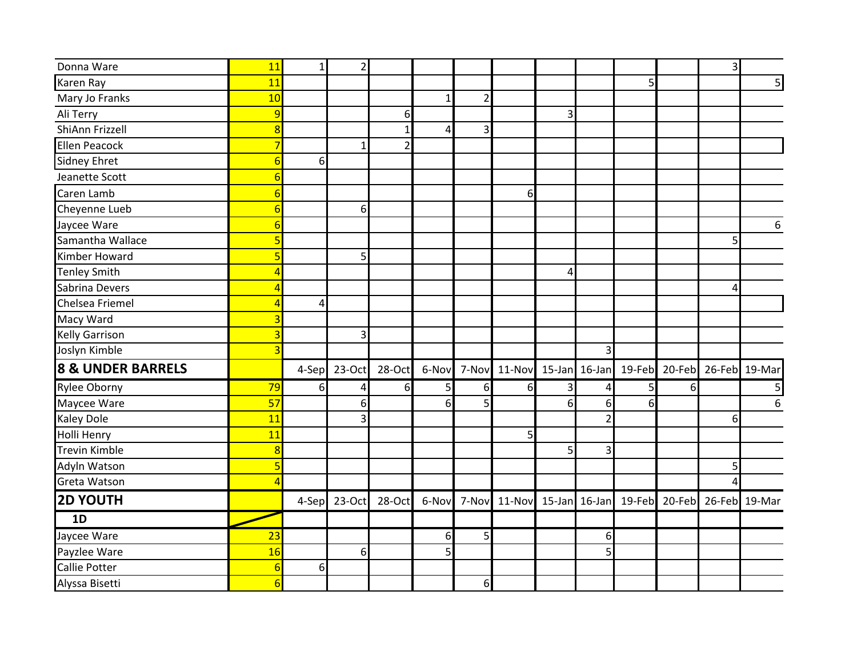| Donna Ware                   | 11             | $1\vert$ | $\overline{a}$   |                |              |                |                                                        |   |                |   |   | 3 |                                                  |
|------------------------------|----------------|----------|------------------|----------------|--------------|----------------|--------------------------------------------------------|---|----------------|---|---|---|--------------------------------------------------|
| <b>Karen Ray</b>             | 11             |          |                  |                |              |                |                                                        |   |                | 5 |   |   | 5 <sub>l</sub>                                   |
| Mary Jo Franks               | 10             |          |                  |                | $\mathbf{1}$ | $\overline{2}$ |                                                        |   |                |   |   |   |                                                  |
| Ali Terry                    | 9              |          |                  | 6              |              |                |                                                        | 3 |                |   |   |   |                                                  |
| ShiAnn Frizzell              | 8              |          |                  | $\mathbf{1}$   | 4            | $\overline{3}$ |                                                        |   |                |   |   |   |                                                  |
| <b>Ellen Peacock</b>         | 7              |          | $\mathbf{1}$     | $\overline{2}$ |              |                |                                                        |   |                |   |   |   |                                                  |
| <b>Sidney Ehret</b>          | 6              | $6 \mid$ |                  |                |              |                |                                                        |   |                |   |   |   |                                                  |
| Jeanette Scott               | 6              |          |                  |                |              |                |                                                        |   |                |   |   |   |                                                  |
| Caren Lamb                   | b              |          |                  |                |              |                | 6                                                      |   |                |   |   |   |                                                  |
| Cheyenne Lueb                | 6              |          | 6                |                |              |                |                                                        |   |                |   |   |   |                                                  |
| Jaycee Ware                  |                |          |                  |                |              |                |                                                        |   |                |   |   |   | 6                                                |
| Samantha Wallace             |                |          |                  |                |              |                |                                                        |   |                |   |   | 5 |                                                  |
| <b>Kimber Howard</b>         |                |          | 5                |                |              |                |                                                        |   |                |   |   |   |                                                  |
| <b>Tenley Smith</b>          | Δ              |          |                  |                |              |                |                                                        | Δ |                |   |   |   |                                                  |
| Sabrina Devers               | 4              |          |                  |                |              |                |                                                        |   |                |   |   | 4 |                                                  |
| Chelsea Friemel              | $\overline{4}$ | 4        |                  |                |              |                |                                                        |   |                |   |   |   |                                                  |
| Macy Ward                    |                |          |                  |                |              |                |                                                        |   |                |   |   |   |                                                  |
| <b>Kelly Garrison</b>        |                |          | 3                |                |              |                |                                                        |   |                |   |   |   |                                                  |
| Joslyn Kimble                | 3              |          |                  |                |              |                |                                                        |   | 3              |   |   |   |                                                  |
| <b>8 &amp; UNDER BARRELS</b> |                | 4-Sep    | 23-Oct           | 28-Oct         | 6-Nov        |                | 7-Nov 11-Nov 15-Jan 16-Jan 19-Feb 20-Feb 26-Feb 19-Mar |   |                |   |   |   |                                                  |
| <b>Rylee Oborny</b>          | 79             | $6 \mid$ | 4                | $6 \mid$       | 5            | $6 \mid$       | 6                                                      | 3 | Δ              | 5 | 6 |   | 5 <sub>l</sub>                                   |
| Maycee Ware                  | 57             |          | 6                |                | 6            | 5              |                                                        | 6 | 6              | 6 |   |   | 6                                                |
| <b>Kaley Dole</b>            | 11             |          | 3                |                |              |                |                                                        |   | $\overline{2}$ |   |   | 6 |                                                  |
| Holli Henry                  | 11             |          |                  |                |              |                | 5                                                      |   |                |   |   |   |                                                  |
| <b>Trevin Kimble</b>         | $\overline{8}$ |          |                  |                |              |                |                                                        | 5 | 3              |   |   |   |                                                  |
| Adyln Watson                 |                |          |                  |                |              |                |                                                        |   |                |   |   | 5 |                                                  |
| Greta Watson                 |                |          |                  |                |              |                |                                                        |   |                |   |   |   |                                                  |
| <b>2D YOUTH</b>              |                |          | 4-Sep 23-Oct     | 28-Oct         | 6-Nov        | 7-Nov          |                                                        |   |                |   |   |   | 11-Nov 15-Jan 16-Jan 19-Feb 20-Feb 26-Feb 19-Mar |
| 1D                           |                |          |                  |                |              |                |                                                        |   |                |   |   |   |                                                  |
| Jaycee Ware                  | 23             |          |                  |                | 6            | 5              |                                                        |   | 6              |   |   |   |                                                  |
| Payzlee Ware                 | 16             |          | $6 \overline{6}$ |                | 5            |                |                                                        |   | 5              |   |   |   |                                                  |
| <b>Callie Potter</b>         | 6              | $6 \mid$ |                  |                |              |                |                                                        |   |                |   |   |   |                                                  |
| Alyssa Bisetti               | 6              |          |                  |                |              | 6 <sup>1</sup> |                                                        |   |                |   |   |   |                                                  |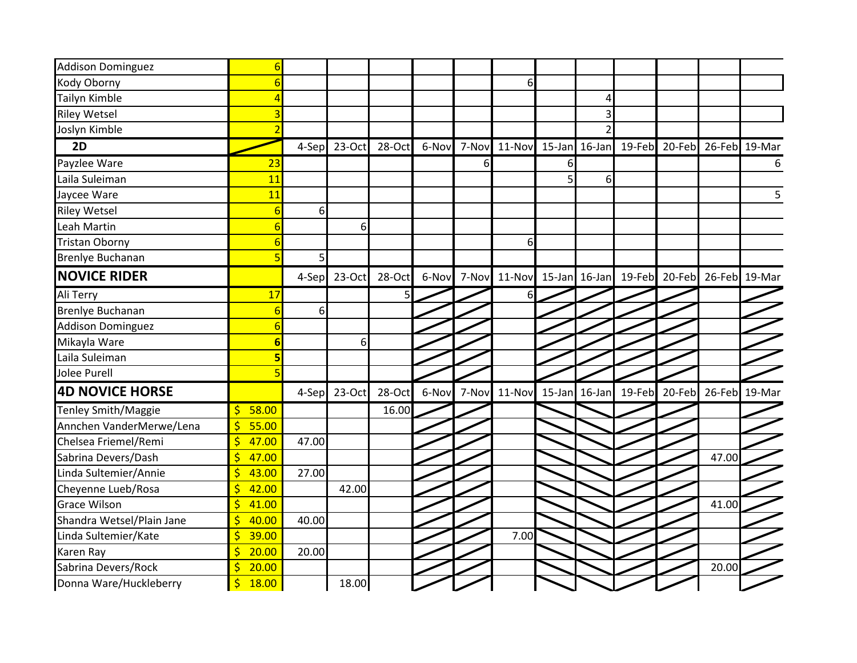| <b>Addison Dominguez</b><br>Kody Oborny<br>Tailyn Kimble |                                  |       |        |        |       |       |                                                        |   |          |  |                                                  |   |
|----------------------------------------------------------|----------------------------------|-------|--------|--------|-------|-------|--------------------------------------------------------|---|----------|--|--------------------------------------------------|---|
|                                                          |                                  |       |        |        |       |       |                                                        |   |          |  |                                                  |   |
|                                                          |                                  |       |        |        |       |       | 6                                                      |   |          |  |                                                  |   |
|                                                          |                                  |       |        |        |       |       |                                                        |   | 4        |  |                                                  |   |
| <b>Riley Wetsel</b>                                      |                                  |       |        |        |       |       |                                                        |   | 3        |  |                                                  |   |
| Joslyn Kimble                                            |                                  |       |        |        |       |       |                                                        |   |          |  |                                                  |   |
| 2D                                                       |                                  | 4-Sep | 23-Oct | 28-Oct | 6-Nov |       | 7-Nov 11-Nov 15-Jan 16-Jan 19-Feb 20-Feb 26-Feb 19-Mar |   |          |  |                                                  |   |
| Payzlee Ware                                             | 23                               |       |        |        |       | 6     |                                                        | 6 |          |  |                                                  | 6 |
| Laila Suleiman                                           | 11                               |       |        |        |       |       |                                                        | 5 | $6 \mid$ |  |                                                  |   |
| Jaycee Ware                                              | 11                               |       |        |        |       |       |                                                        |   |          |  |                                                  | 5 |
| <b>Riley Wetsel</b>                                      | 6                                | 6     |        |        |       |       |                                                        |   |          |  |                                                  |   |
| Leah Martin                                              | ĥ                                |       | 6      |        |       |       |                                                        |   |          |  |                                                  |   |
| <b>Tristan Oborny</b>                                    |                                  |       |        |        |       |       | 6                                                      |   |          |  |                                                  |   |
| <b>Brenlye Buchanan</b>                                  | 5                                | 5     |        |        |       |       |                                                        |   |          |  |                                                  |   |
| <b>NOVICE RIDER</b>                                      |                                  | 4-Sep | 23-Oct | 28-Oct | 6-Nov |       | 7-Nov 11-Nov 15-Jan 16-Jan 19-Feb 20-Feb 26-Feb 19-Mar |   |          |  |                                                  |   |
| Ali Terry                                                | 17                               |       |        | 5      |       |       | 61                                                     |   |          |  |                                                  |   |
| Brenlye Buchanan                                         |                                  | 6     |        |        |       |       |                                                        |   |          |  |                                                  |   |
| <b>Addison Dominguez</b>                                 | 6                                |       |        |        |       |       |                                                        |   |          |  |                                                  |   |
| Mikayla Ware                                             | 6                                |       | 6      |        |       |       |                                                        |   |          |  |                                                  |   |
| Laila Suleiman                                           | 5                                |       |        |        |       |       |                                                        |   |          |  |                                                  |   |
| <b>Jolee Purell</b>                                      |                                  |       |        |        |       |       |                                                        |   |          |  |                                                  |   |
| <b>4D NOVICE HORSE</b>                                   |                                  | 4-Sep | 23-Oct | 28-Oct | 6-Nov | 7-Nov |                                                        |   |          |  | 11-Nov 15-Jan 16-Jan 19-Feb 20-Feb 26-Feb 19-Mar |   |
| Tenley Smith/Maggie                                      | 58.00<br>$\mathsf{\dot{S}}$      |       |        | 16.00  |       |       |                                                        |   |          |  |                                                  |   |
| Annchen VanderMerwe/Lena                                 | \$<br>55.00                      |       |        |        |       |       |                                                        |   |          |  |                                                  |   |
| Chelsea Friemel/Remi                                     | \$<br>47.00                      | 47.00 |        |        |       |       |                                                        |   |          |  |                                                  |   |
| Sabrina Devers/Dash                                      | $\overline{\mathsf{S}}$<br>47.00 |       |        |        |       |       |                                                        |   |          |  | 47.00                                            |   |
| Linda Sultemier/Annie                                    | $\mathsf{\dot{S}}$<br>43.00      | 27.00 |        |        |       |       |                                                        |   |          |  |                                                  |   |
| Cheyenne Lueb/Rosa                                       | \$<br>42.00                      |       | 42.00  |        |       |       |                                                        |   |          |  |                                                  |   |
| <b>Grace Wilson</b>                                      | \$<br>41.00                      |       |        |        |       |       |                                                        |   |          |  | 41.00                                            |   |
| Shandra Wetsel/Plain Jane                                | \$<br>40.00                      | 40.00 |        |        |       |       |                                                        |   |          |  |                                                  |   |
| Linda Sultemier/Kate                                     | \$<br>39.00                      |       |        |        |       |       | 7.00                                                   |   |          |  |                                                  |   |
| Karen Ray                                                | $\overline{\mathsf{S}}$<br>20.00 | 20.00 |        |        |       |       |                                                        |   |          |  |                                                  |   |
| Sabrina Devers/Rock                                      | $\overline{\mathsf{S}}$<br>20.00 |       |        |        |       |       |                                                        |   |          |  | 20.00                                            |   |
| Donna Ware/Huckleberry                                   | $\frac{1}{2}$<br>18.00           |       | 18.00  |        |       |       |                                                        |   |          |  |                                                  |   |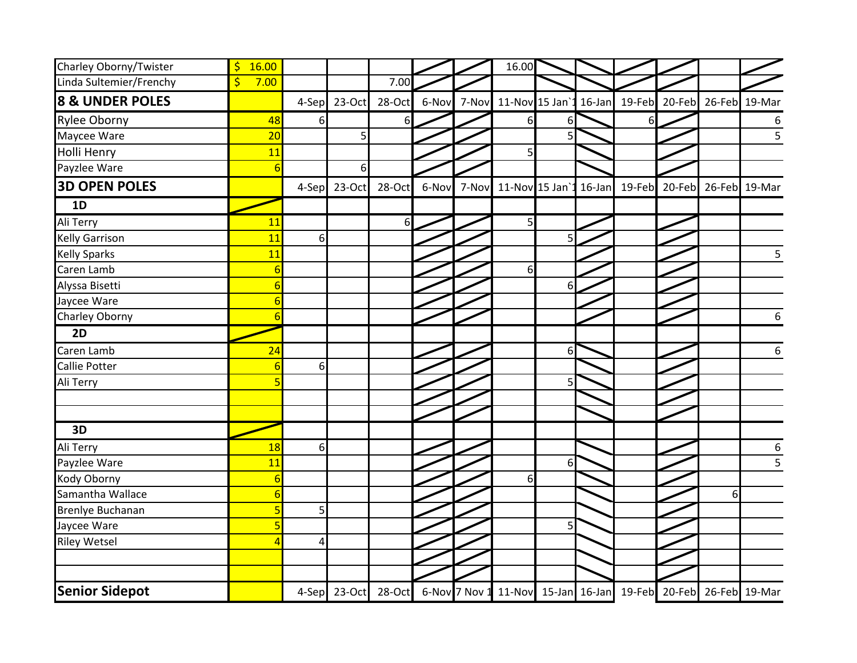| Charley Oborny/Twister     | 16.00<br>\$           |          |              |           |       |       | 16.00                                                          |    |        |               |               |   |                |
|----------------------------|-----------------------|----------|--------------|-----------|-------|-------|----------------------------------------------------------------|----|--------|---------------|---------------|---|----------------|
| Linda Sultemier/Frenchy    | $\frac{1}{2}$<br>7.00 |          |              | 7.00      |       |       |                                                                |    |        |               |               |   |                |
| <b>8 &amp; UNDER POLES</b> |                       | 4-Sep    | 23-Oct       | 28-Oct    | 6-Nov | 7-Nov | 11-Nov 15 Jan'1 16-Jan                                         |    |        | 19-Feb 20-Feb |               |   | 26-Feb 19-Mar  |
| <b>Rylee Oborny</b>        | 48                    | $6 \mid$ |              | $6 \mid$  |       |       | 6                                                              |    |        | 6             |               |   | 6              |
| Maycee Ware                | 20                    |          | 5            |           |       |       |                                                                |    |        |               |               |   | $\overline{5}$ |
| <b>Holli Henry</b>         | 11                    |          |              |           |       |       | 5                                                              |    |        |               |               |   |                |
| Payzlee Ware               | 6                     |          | 6            |           |       |       |                                                                |    |        |               |               |   |                |
| <b>3D OPEN POLES</b>       |                       | 4-Sep    | 23-Oct       | 28-Oct    | 6-Nov | 7-Nov | 11-Nov 15 Jan                                                  |    | 16-Jan |               | 19-Feb 20-Feb |   | 26-Feb 19-Mar  |
| 1D                         |                       |          |              |           |       |       |                                                                |    |        |               |               |   |                |
| Ali Terry                  | 11                    |          |              | 6         |       |       | 5                                                              |    |        |               |               |   |                |
| <b>Kelly Garrison</b>      | 11                    | 6        |              |           |       |       |                                                                |    |        |               |               |   |                |
| <b>Kelly Sparks</b>        | 11                    |          |              |           |       |       |                                                                |    |        |               |               |   | 5              |
| Caren Lamb                 | 6                     |          |              |           |       |       | 6                                                              |    |        |               |               |   |                |
| Alyssa Bisetti             | 6                     |          |              |           |       |       |                                                                | 61 |        |               |               |   |                |
| Jaycee Ware                |                       |          |              |           |       |       |                                                                |    |        |               |               |   |                |
| Charley Oborny             |                       |          |              |           |       |       |                                                                |    |        |               |               |   | 6              |
| 2D                         |                       |          |              |           |       |       |                                                                |    |        |               |               |   |                |
| Caren Lamb                 | 24                    |          |              |           |       |       |                                                                | 6  |        |               |               |   | 6              |
| <b>Callie Potter</b>       | 6                     | 6        |              |           |       |       |                                                                |    |        |               |               |   |                |
| Ali Terry                  |                       |          |              |           |       |       |                                                                |    |        |               |               |   |                |
|                            |                       |          |              |           |       |       |                                                                |    |        |               |               |   |                |
|                            |                       |          |              |           |       |       |                                                                |    |        |               |               |   |                |
| 3D                         |                       |          |              |           |       |       |                                                                |    |        |               |               |   |                |
| Ali Terry                  | 18                    | $6 \mid$ |              |           |       |       |                                                                |    |        |               |               |   | $\frac{6}{5}$  |
| Payzlee Ware               | 11                    |          |              |           |       |       |                                                                | 6  |        |               |               |   |                |
| Kody Oborny                | 6                     |          |              |           |       |       | 6                                                              |    |        |               |               |   |                |
| Samantha Wallace           | 6                     |          |              |           |       |       |                                                                |    |        |               |               | 6 |                |
| Brenlye Buchanan           |                       | 5        |              |           |       |       |                                                                |    |        |               |               |   |                |
| Jaycee Ware                |                       |          |              |           |       |       |                                                                | 5  |        |               |               |   |                |
| <b>Riley Wetsel</b>        |                       | 4        |              |           |       |       |                                                                |    |        |               |               |   |                |
|                            |                       |          |              |           |       |       |                                                                |    |        |               |               |   |                |
|                            |                       |          |              |           |       |       |                                                                |    |        |               |               |   |                |
| <b>Senior Sidepot</b>      |                       |          | 4-Sep 23-Oct | $28$ -Oct |       |       | 6-Nov 7 Nov 1 11-Nov 15-Jan 16-Jan 19-Feb 20-Feb 26-Feb 19-Mar |    |        |               |               |   |                |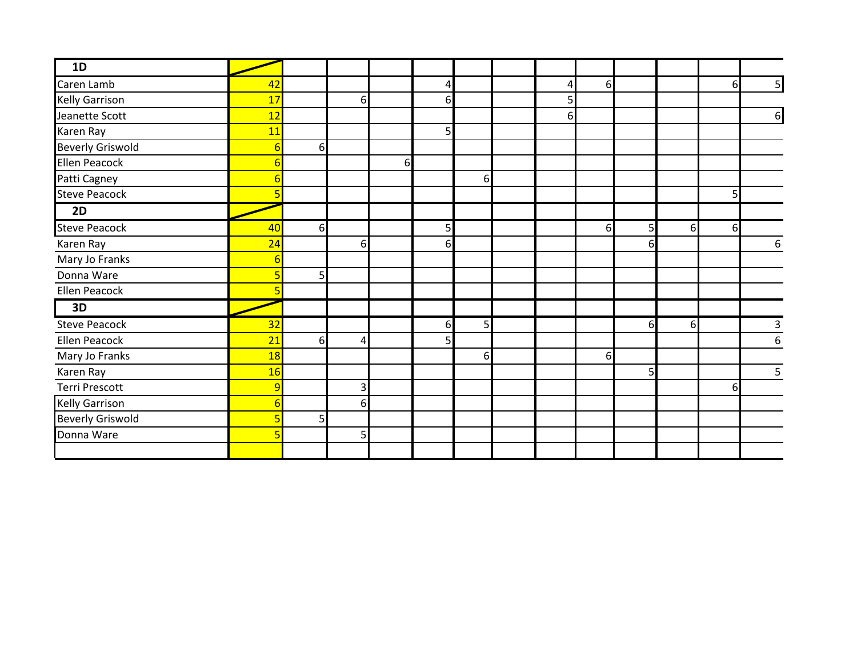| 1D                      |    |                  |   |          |              |                |   |          |          |    |    |                         |
|-------------------------|----|------------------|---|----------|--------------|----------------|---|----------|----------|----|----|-------------------------|
| Caren Lamb              | 42 |                  |   |          | 4            |                | 4 | 6        |          |    | 6  | $\overline{\mathbf{5}}$ |
| <b>Kelly Garrison</b>   | 17 |                  | 6 |          | $6 \mid$     |                | 5 |          |          |    |    |                         |
| Jeanette Scott          | 12 |                  |   |          |              |                | 6 |          |          |    |    | $6 \mid$                |
| Karen Ray               | 11 |                  |   |          | $\mathsf{5}$ |                |   |          |          |    |    |                         |
| <b>Beverly Griswold</b> |    | $6 \overline{6}$ |   |          |              |                |   |          |          |    |    |                         |
| <b>Ellen Peacock</b>    |    |                  |   | $6 \mid$ |              |                |   |          |          |    |    |                         |
| Patti Cagney            |    |                  |   |          |              | 6              |   |          |          |    |    |                         |
| <b>Steve Peacock</b>    |    |                  |   |          |              |                |   |          |          |    | 5  |                         |
| 2D                      |    |                  |   |          |              |                |   |          |          |    |    |                         |
| <b>Steve Peacock</b>    | 40 | 6                |   |          | $\mathsf{5}$ |                |   | 61       | 5        | 61 | 6  |                         |
| Karen Ray               | 24 |                  | 6 |          | $6 \mid$     |                |   |          | 6        |    |    | $\boldsymbol{6}$        |
| Mary Jo Franks          |    |                  |   |          |              |                |   |          |          |    |    |                         |
| Donna Ware              | 5  | 5 <sub>l</sub>   |   |          |              |                |   |          |          |    |    |                         |
| Ellen Peacock           |    |                  |   |          |              |                |   |          |          |    |    |                         |
| 3D                      |    |                  |   |          |              |                |   |          |          |    |    |                         |
| <b>Steve Peacock</b>    | 32 |                  |   |          | $6 \mid$     | 5 <sup>1</sup> |   |          | $6 \mid$ | 6  |    | $\mathsf{3}$            |
| Ellen Peacock           | 21 | $6 \mid$         | Δ |          | 5            |                |   |          |          |    |    | 6                       |
| Mary Jo Franks          | 18 |                  |   |          |              | $6 \mid$       |   | $6 \mid$ |          |    |    |                         |
| Karen Ray               | 16 |                  |   |          |              |                |   |          | 5        |    |    | 5                       |
| <b>Terri Prescott</b>   | 9  |                  | 3 |          |              |                |   |          |          |    | 61 |                         |
| <b>Kelly Garrison</b>   |    |                  | 6 |          |              |                |   |          |          |    |    |                         |
| <b>Beverly Griswold</b> |    | 5 <sub>l</sub>   |   |          |              |                |   |          |          |    |    |                         |
| Donna Ware              |    |                  | 5 |          |              |                |   |          |          |    |    |                         |
|                         |    |                  |   |          |              |                |   |          |          |    |    |                         |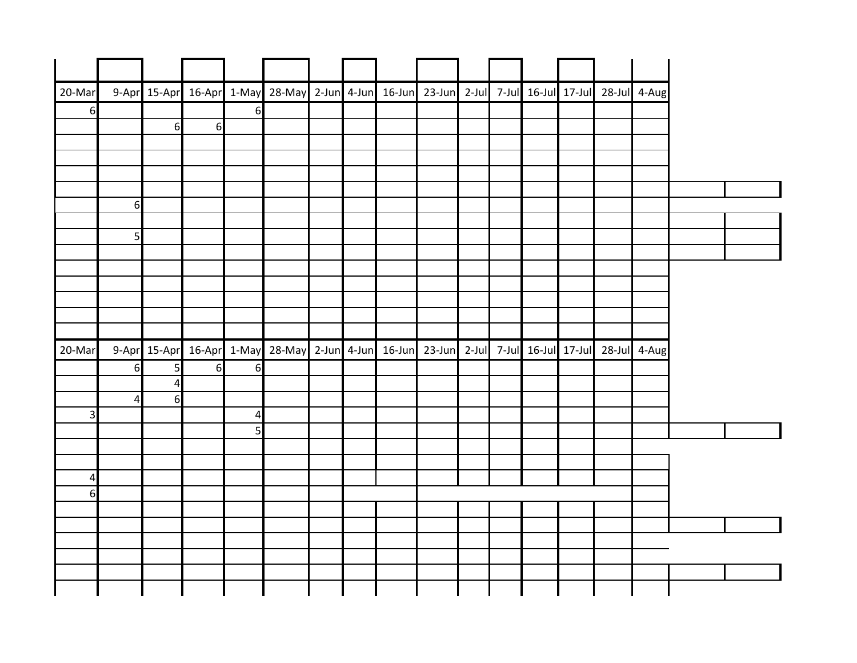| 20-Mar          |                  |                |   |                | 9-Apr 15-Apr 16-Apr 1-May 28-May 2-Jun 4-Jun 16-Jun 23-Jun 2-Jul 7-Jul 16-Jul 17-Jul 28-Jul 4-Aug |  |  |  |  |  |
|-----------------|------------------|----------------|---|----------------|---------------------------------------------------------------------------------------------------|--|--|--|--|--|
| $6 \mid$        |                  |                |   | $6 \mid$       |                                                                                                   |  |  |  |  |  |
|                 |                  | 6              | 6 |                |                                                                                                   |  |  |  |  |  |
|                 |                  |                |   |                |                                                                                                   |  |  |  |  |  |
|                 |                  |                |   |                |                                                                                                   |  |  |  |  |  |
|                 |                  |                |   |                |                                                                                                   |  |  |  |  |  |
|                 | $6 \overline{6}$ |                |   |                |                                                                                                   |  |  |  |  |  |
|                 |                  |                |   |                |                                                                                                   |  |  |  |  |  |
|                 | $5\overline{)}$  |                |   |                |                                                                                                   |  |  |  |  |  |
|                 |                  |                |   |                |                                                                                                   |  |  |  |  |  |
|                 |                  |                |   |                |                                                                                                   |  |  |  |  |  |
|                 |                  |                |   |                |                                                                                                   |  |  |  |  |  |
|                 |                  |                |   |                |                                                                                                   |  |  |  |  |  |
|                 |                  |                |   |                |                                                                                                   |  |  |  |  |  |
| 20-Mar          |                  |                |   |                | 9-Apr 15-Apr 16-Apr 1-May 28-May 2-Jun 4-Jun 16-Jun 23-Jun 2-Jul 7-Jul 16-Jul 17-Jul 28-Jul 4-Aug |  |  |  |  |  |
|                 | 6                | 5 <sub>l</sub> | 6 | $6 \mid$       |                                                                                                   |  |  |  |  |  |
|                 |                  | $\overline{a}$ |   |                |                                                                                                   |  |  |  |  |  |
|                 | $\overline{a}$   | 6              |   |                |                                                                                                   |  |  |  |  |  |
| $\overline{3}$  |                  |                |   |                |                                                                                                   |  |  |  |  |  |
|                 |                  |                |   | $\overline{4}$ |                                                                                                   |  |  |  |  |  |
|                 |                  |                |   | 5 <sup>1</sup> |                                                                                                   |  |  |  |  |  |
|                 |                  |                |   |                |                                                                                                   |  |  |  |  |  |
|                 |                  |                |   |                |                                                                                                   |  |  |  |  |  |
| $\vert 4 \vert$ |                  |                |   |                |                                                                                                   |  |  |  |  |  |
| 6 <sup>1</sup>  |                  |                |   |                |                                                                                                   |  |  |  |  |  |
|                 |                  |                |   |                |                                                                                                   |  |  |  |  |  |
|                 |                  |                |   |                |                                                                                                   |  |  |  |  |  |
|                 |                  |                |   |                |                                                                                                   |  |  |  |  |  |
|                 |                  |                |   |                |                                                                                                   |  |  |  |  |  |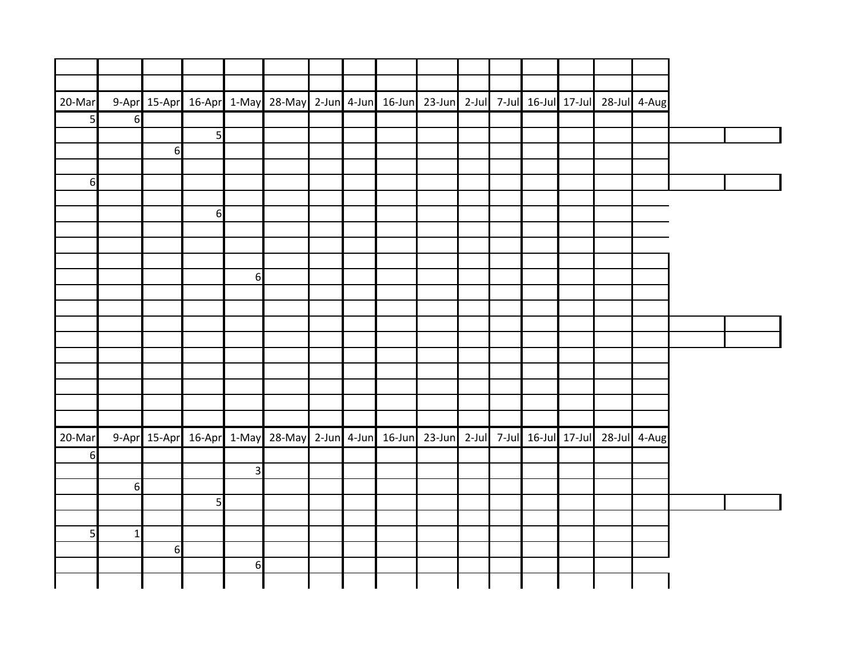|  |  |  |  |  |  | 9-Apr 15-Apr 16-Apr 1-May 28-May 2-Jun 4-Jun 16-Jun 23-Jun 2-Jul 7-Jul 16-Jul 17-Jul 28-Jul 4-Aug |                |                  |                  |                  | 20-Mar         |
|--|--|--|--|--|--|---------------------------------------------------------------------------------------------------|----------------|------------------|------------------|------------------|----------------|
|  |  |  |  |  |  |                                                                                                   |                |                  |                  | $6 \overline{6}$ | 5 <sup>1</sup> |
|  |  |  |  |  |  |                                                                                                   |                | 5 <sub>l</sub>   |                  |                  |                |
|  |  |  |  |  |  |                                                                                                   |                |                  | 6                |                  |                |
|  |  |  |  |  |  |                                                                                                   |                |                  |                  |                  |                |
|  |  |  |  |  |  |                                                                                                   |                |                  |                  |                  | $6 \mid$       |
|  |  |  |  |  |  |                                                                                                   |                |                  |                  |                  |                |
|  |  |  |  |  |  |                                                                                                   |                | $6 \overline{6}$ |                  |                  |                |
|  |  |  |  |  |  |                                                                                                   |                |                  |                  |                  |                |
|  |  |  |  |  |  |                                                                                                   |                |                  |                  |                  |                |
|  |  |  |  |  |  |                                                                                                   |                |                  |                  |                  |                |
|  |  |  |  |  |  |                                                                                                   | 6              |                  |                  |                  |                |
|  |  |  |  |  |  |                                                                                                   |                |                  |                  |                  |                |
|  |  |  |  |  |  |                                                                                                   |                |                  |                  |                  |                |
|  |  |  |  |  |  |                                                                                                   |                |                  |                  |                  |                |
|  |  |  |  |  |  |                                                                                                   |                |                  |                  |                  |                |
|  |  |  |  |  |  |                                                                                                   |                |                  |                  |                  |                |
|  |  |  |  |  |  |                                                                                                   |                |                  |                  |                  |                |
|  |  |  |  |  |  |                                                                                                   |                |                  |                  |                  |                |
|  |  |  |  |  |  |                                                                                                   |                |                  |                  |                  |                |
|  |  |  |  |  |  |                                                                                                   |                |                  |                  |                  |                |
|  |  |  |  |  |  | 9-Apr 15-Apr 16-Apr 1-May 28-May 2-Jun 4-Jun 16-Jun 23-Jun 2-Jul 7-Jul 16-Jul 17-Jul 28-Jul 4-Aug |                |                  |                  |                  | 20-Mar         |
|  |  |  |  |  |  |                                                                                                   |                |                  |                  |                  | 6              |
|  |  |  |  |  |  |                                                                                                   | $\overline{3}$ |                  |                  |                  |                |
|  |  |  |  |  |  |                                                                                                   |                |                  |                  | $6 \mid$         |                |
|  |  |  |  |  |  |                                                                                                   |                | 5 <sup>1</sup>   |                  |                  |                |
|  |  |  |  |  |  |                                                                                                   |                |                  |                  |                  |                |
|  |  |  |  |  |  |                                                                                                   |                |                  |                  | $1\vert$         | 5 <sub>l</sub> |
|  |  |  |  |  |  |                                                                                                   |                |                  | $6 \overline{6}$ |                  |                |
|  |  |  |  |  |  |                                                                                                   | $6 \mid$       |                  |                  |                  |                |
|  |  |  |  |  |  |                                                                                                   |                |                  |                  |                  |                |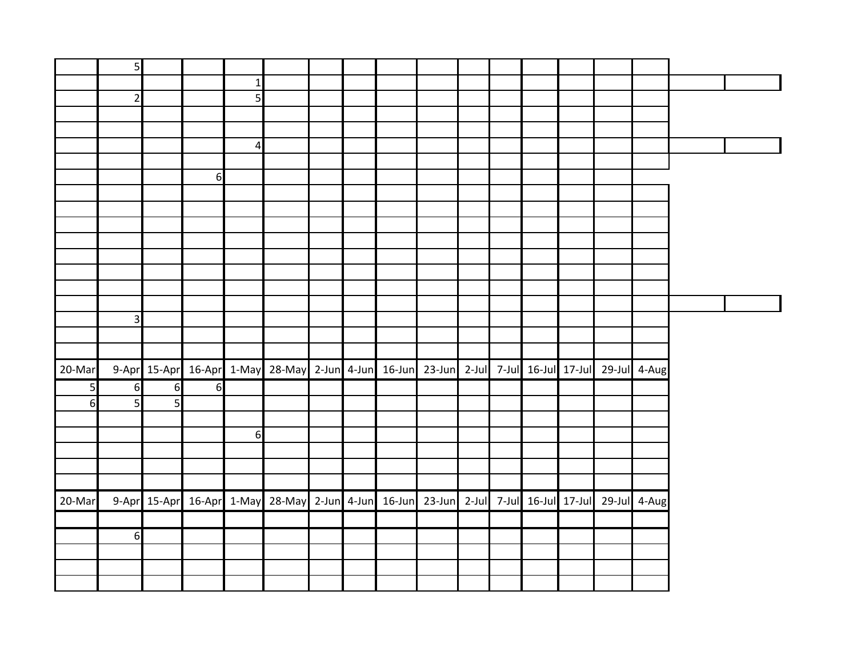|                  | 5 <sub>l</sub>          |                |                  |                |                                                                                                   |  |  |  |  |  |  |
|------------------|-------------------------|----------------|------------------|----------------|---------------------------------------------------------------------------------------------------|--|--|--|--|--|--|
|                  |                         |                |                  | $1\vert$       |                                                                                                   |  |  |  |  |  |  |
|                  | $\overline{2}$          |                |                  | 5 <sub>l</sub> |                                                                                                   |  |  |  |  |  |  |
|                  |                         |                |                  |                |                                                                                                   |  |  |  |  |  |  |
|                  |                         |                |                  |                |                                                                                                   |  |  |  |  |  |  |
|                  |                         |                |                  | $\overline{4}$ |                                                                                                   |  |  |  |  |  |  |
|                  |                         |                |                  |                |                                                                                                   |  |  |  |  |  |  |
|                  |                         |                | 6                |                |                                                                                                   |  |  |  |  |  |  |
|                  |                         |                |                  |                |                                                                                                   |  |  |  |  |  |  |
|                  |                         |                |                  |                |                                                                                                   |  |  |  |  |  |  |
|                  |                         |                |                  |                |                                                                                                   |  |  |  |  |  |  |
|                  |                         |                |                  |                |                                                                                                   |  |  |  |  |  |  |
|                  |                         |                |                  |                |                                                                                                   |  |  |  |  |  |  |
|                  |                         |                |                  |                |                                                                                                   |  |  |  |  |  |  |
|                  |                         |                |                  |                |                                                                                                   |  |  |  |  |  |  |
|                  |                         |                |                  |                |                                                                                                   |  |  |  |  |  |  |
|                  | $\overline{\mathbf{3}}$ |                |                  |                |                                                                                                   |  |  |  |  |  |  |
|                  |                         |                |                  |                |                                                                                                   |  |  |  |  |  |  |
|                  |                         |                |                  |                |                                                                                                   |  |  |  |  |  |  |
| 20-Mar           |                         |                |                  |                | 9-Apr 15-Apr 16-Apr 1-May 28-May 2-Jun 4-Jun 16-Jun 23-Jun 2-Jul 7-Jul 16-Jul 17-Jul 29-Jul 4-Aug |  |  |  |  |  |  |
| 5 <sup>1</sup>   | $6 \overline{6}$        | $6 \mid$       | $6 \overline{6}$ |                |                                                                                                   |  |  |  |  |  |  |
| $6 \overline{6}$ | 5 <sub>l</sub>          | $\overline{5}$ |                  |                |                                                                                                   |  |  |  |  |  |  |
|                  |                         |                |                  |                |                                                                                                   |  |  |  |  |  |  |
|                  |                         |                |                  | 6              |                                                                                                   |  |  |  |  |  |  |
|                  |                         |                |                  |                |                                                                                                   |  |  |  |  |  |  |
|                  |                         |                |                  |                |                                                                                                   |  |  |  |  |  |  |
|                  |                         |                |                  |                |                                                                                                   |  |  |  |  |  |  |
| 20-Mar           |                         |                |                  |                | 9-Apr 15-Apr 16-Apr 1-May 28-May 2-Jun 4-Jun 16-Jun 23-Jun 2-Jul 7-Jul 16-Jul 17-Jul 29-Jul 4-Aug |  |  |  |  |  |  |
|                  |                         |                |                  |                |                                                                                                   |  |  |  |  |  |  |
|                  |                         |                |                  |                |                                                                                                   |  |  |  |  |  |  |
|                  | 6                       |                |                  |                |                                                                                                   |  |  |  |  |  |  |
|                  |                         |                |                  |                |                                                                                                   |  |  |  |  |  |  |
|                  |                         |                |                  |                |                                                                                                   |  |  |  |  |  |  |
|                  |                         |                |                  |                |                                                                                                   |  |  |  |  |  |  |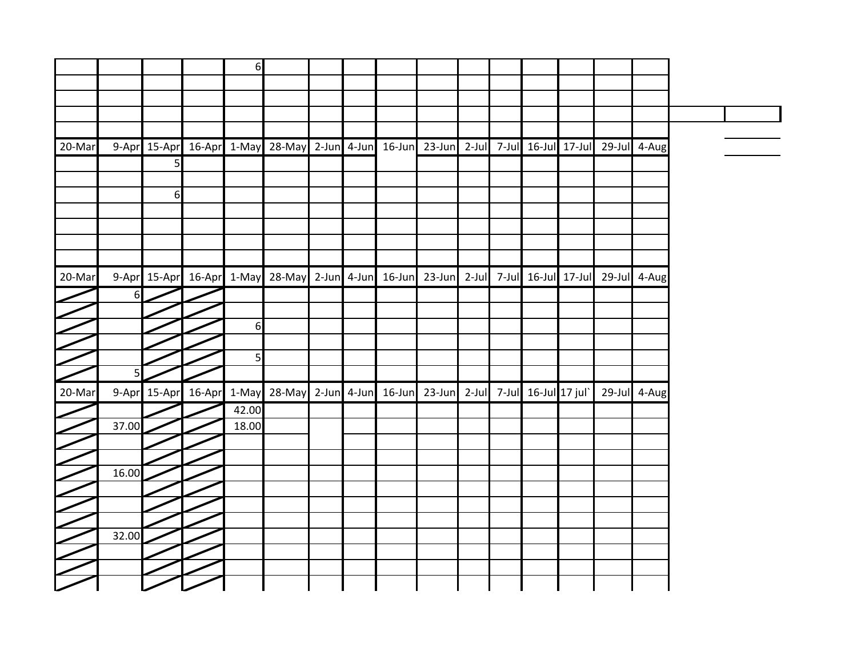|                 |                |                | $6 \mid$ |                                                                                                   |  |                                                      |  |  |              |
|-----------------|----------------|----------------|----------|---------------------------------------------------------------------------------------------------|--|------------------------------------------------------|--|--|--------------|
|                 |                |                |          |                                                                                                   |  |                                                      |  |  |              |
|                 |                |                |          |                                                                                                   |  |                                                      |  |  |              |
|                 |                |                |          |                                                                                                   |  |                                                      |  |  |              |
|                 |                |                |          |                                                                                                   |  |                                                      |  |  |              |
| 20-Mar          |                |                |          | 9-Apr 15-Apr 16-Apr 1-May 28-May 2-Jun 4-Jun                                                      |  | 16-Jun 23-Jun 2-Jul 7-Jul 16-Jul 17-Jul 29-Jul 4-Aug |  |  |              |
|                 |                | $\overline{5}$ |          |                                                                                                   |  |                                                      |  |  |              |
|                 |                |                |          |                                                                                                   |  |                                                      |  |  |              |
|                 |                | 6              |          |                                                                                                   |  |                                                      |  |  |              |
|                 |                |                |          |                                                                                                   |  |                                                      |  |  |              |
|                 |                |                |          |                                                                                                   |  |                                                      |  |  |              |
|                 |                |                |          |                                                                                                   |  |                                                      |  |  |              |
|                 |                |                |          |                                                                                                   |  |                                                      |  |  |              |
| $\sqrt{20-Mar}$ |                |                |          | 9-Apr 15-Apr 16-Apr 1-May 28-May 2-Jun 4-Jun 16-Jun 23-Jun 2-Jul 7-Jul 16-Jul 17-Jul 29-Jul 4-Aug |  |                                                      |  |  |              |
|                 | 6              |                |          |                                                                                                   |  |                                                      |  |  |              |
|                 |                |                |          |                                                                                                   |  |                                                      |  |  |              |
|                 |                |                | $6 \mid$ |                                                                                                   |  |                                                      |  |  |              |
|                 |                |                |          |                                                                                                   |  |                                                      |  |  |              |
|                 |                |                | 5        |                                                                                                   |  |                                                      |  |  |              |
|                 | 5 <sub>l</sub> |                |          |                                                                                                   |  |                                                      |  |  |              |
| 20-Mar          |                |                |          | 9-Apr 15-Apr 16-Apr 1-May 28-May 2-Jun 4-Jun 16-Jun 23-Jun 2-Jul 7-Jul 16-Jul 17 jul              |  |                                                      |  |  | 29-Jul 4-Aug |
|                 |                |                | 42.00    |                                                                                                   |  |                                                      |  |  |              |
|                 | 37.00          |                | 18.00    |                                                                                                   |  |                                                      |  |  |              |
|                 |                |                |          |                                                                                                   |  |                                                      |  |  |              |
|                 |                |                |          |                                                                                                   |  |                                                      |  |  |              |
|                 | 16.00          |                |          |                                                                                                   |  |                                                      |  |  |              |
|                 |                |                |          |                                                                                                   |  |                                                      |  |  |              |
|                 |                |                |          |                                                                                                   |  |                                                      |  |  |              |
|                 | 32.00          |                |          |                                                                                                   |  |                                                      |  |  |              |
|                 |                |                |          |                                                                                                   |  |                                                      |  |  |              |
|                 |                |                |          |                                                                                                   |  |                                                      |  |  |              |
|                 |                |                |          |                                                                                                   |  |                                                      |  |  |              |
|                 |                |                |          |                                                                                                   |  |                                                      |  |  |              |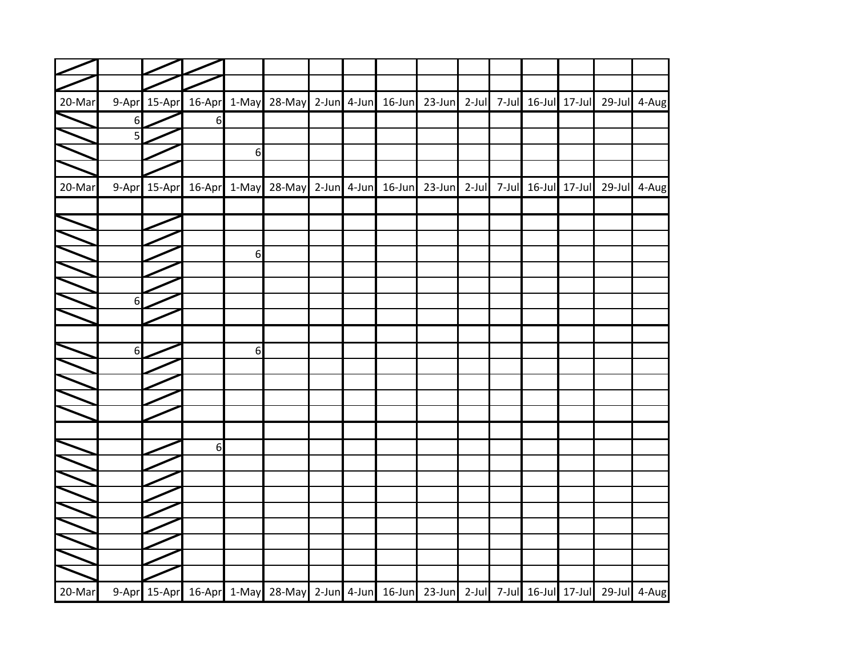| $\Box$ |                  |              |                  |   |                                                                                                   |                   |               |          |                     |                                        |              |
|--------|------------------|--------------|------------------|---|---------------------------------------------------------------------------------------------------|-------------------|---------------|----------|---------------------|----------------------------------------|--------------|
|        |                  |              |                  |   |                                                                                                   |                   |               |          |                     |                                        |              |
| 20-Mar |                  | 9-Apr 15-Apr |                  |   | 16-Apr 1-May 28-May                                                                               | $2$ -Jun $4$ -Jun | 16-Jun 23-Jun |          |                     | 2-Jul 7-Jul 16-Jul 17-Jul 29-Jul 4-Aug |              |
|        | 6                |              | $6 \overline{6}$ |   |                                                                                                   |                   |               |          |                     |                                        |              |
|        | 5                |              |                  |   |                                                                                                   |                   |               |          |                     |                                        |              |
|        |                  |              |                  | 6 |                                                                                                   |                   |               |          |                     |                                        |              |
|        |                  |              |                  |   |                                                                                                   |                   |               |          |                     |                                        |              |
| 20-Mar |                  | 9-Apr 15-Apr | 16-Apr 1-May     |   | 28-May 2-Jun 4-Jun                                                                                |                   | 16-Jun 23-Jun | $2$ -Jul | 7-Jul 16-Jul 17-Jul |                                        | 29-Jul 4-Aug |
|        |                  |              |                  |   |                                                                                                   |                   |               |          |                     |                                        |              |
|        |                  |              |                  |   |                                                                                                   |                   |               |          |                     |                                        |              |
|        |                  |              |                  |   |                                                                                                   |                   |               |          |                     |                                        |              |
|        |                  |              |                  | 6 |                                                                                                   |                   |               |          |                     |                                        |              |
|        |                  |              |                  |   |                                                                                                   |                   |               |          |                     |                                        |              |
|        |                  |              |                  |   |                                                                                                   |                   |               |          |                     |                                        |              |
|        | $\boldsymbol{6}$ |              |                  |   |                                                                                                   |                   |               |          |                     |                                        |              |
|        |                  |              |                  |   |                                                                                                   |                   |               |          |                     |                                        |              |
|        |                  |              |                  |   |                                                                                                   |                   |               |          |                     |                                        |              |
|        | 6                |              |                  | 6 |                                                                                                   |                   |               |          |                     |                                        |              |
|        |                  |              |                  |   |                                                                                                   |                   |               |          |                     |                                        |              |
|        |                  |              |                  |   |                                                                                                   |                   |               |          |                     |                                        |              |
|        |                  |              |                  |   |                                                                                                   |                   |               |          |                     |                                        |              |
|        |                  |              |                  |   |                                                                                                   |                   |               |          |                     |                                        |              |
|        |                  |              | 6                |   |                                                                                                   |                   |               |          |                     |                                        |              |
|        |                  |              |                  |   |                                                                                                   |                   |               |          |                     |                                        |              |
|        |                  |              |                  |   |                                                                                                   |                   |               |          |                     |                                        |              |
|        |                  |              |                  |   |                                                                                                   |                   |               |          |                     |                                        |              |
|        |                  |              |                  |   |                                                                                                   |                   |               |          |                     |                                        |              |
|        |                  |              |                  |   |                                                                                                   |                   |               |          |                     |                                        |              |
|        |                  |              |                  |   |                                                                                                   |                   |               |          |                     |                                        |              |
|        |                  |              |                  |   |                                                                                                   |                   |               |          |                     |                                        |              |
|        |                  |              |                  |   |                                                                                                   |                   |               |          |                     |                                        |              |
| 20-Mar |                  |              |                  |   | 9-Apr 15-Apr 16-Apr 1-May 28-May 2-Jun 4-Jun 16-Jun 23-Jun 2-Jul 7-Jul 16-Jul 17-Jul 29-Jul 4-Aug |                   |               |          |                     |                                        |              |